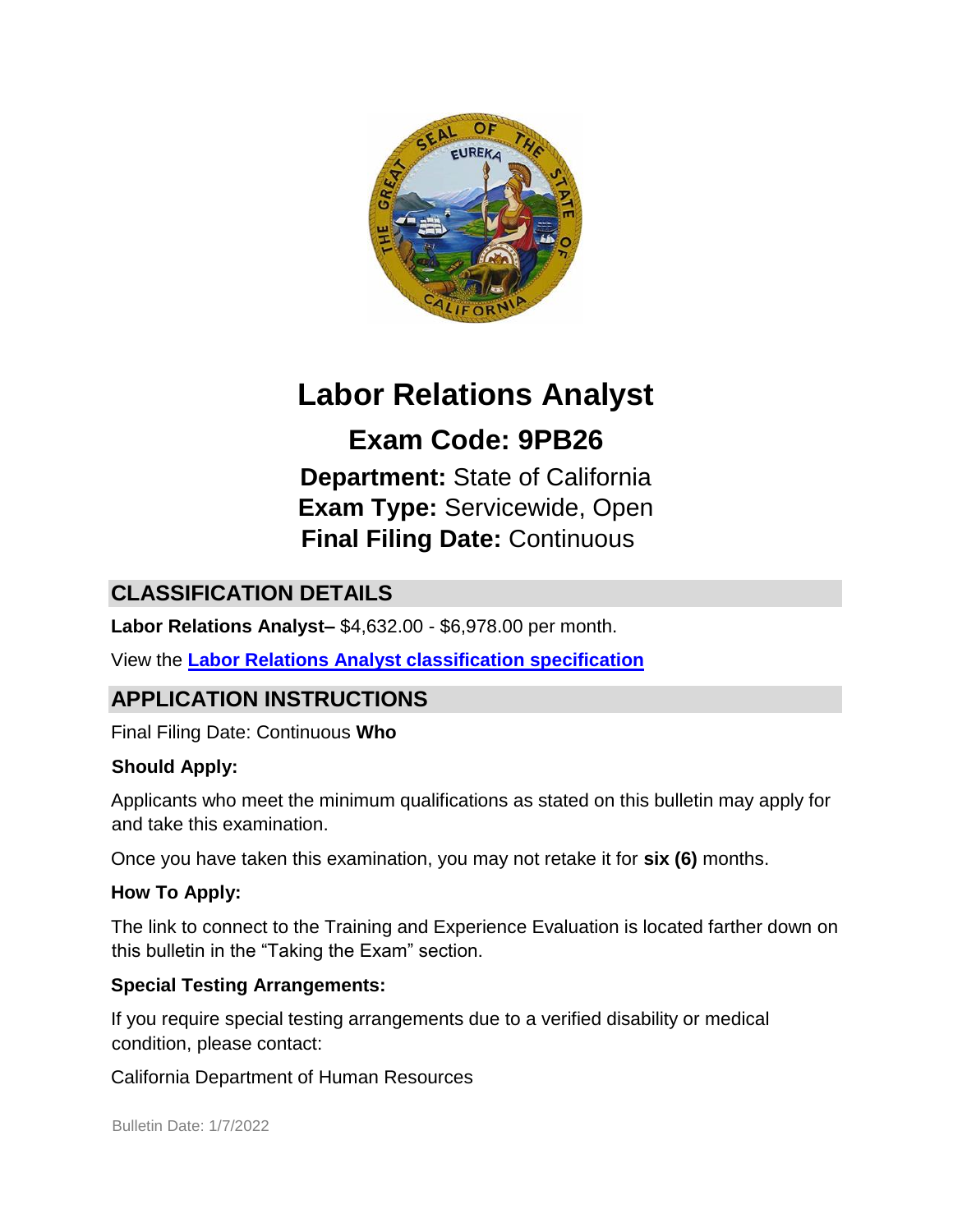

# **Labor Relations Analyst**

**Exam Code: 9PB26 Department:** State of California **Exam Type:** Servicewide, Open **Final Filing Date:** Continuous

# **CLASSIFICATION DETAILS**

**Labor Relations Analyst–** \$4,632.00 - \$6,978.00 per month.

View the **[Labor Relations Analyst classification specification](http://www.calhr.ca.gov/state-hr-professionals/pages/9529.aspx)**

# **APPLICATION INSTRUCTIONS**

Final Filing Date: Continuous **Who** 

#### **Should Apply:**

Applicants who meet the minimum qualifications as stated on this bulletin may apply for and take this examination.

Once you have taken this examination, you may not retake it for **six (6)** months.

#### **How To Apply:**

The link to connect to the Training and Experience Evaluation is located farther down on this bulletin in the "Taking the Exam" section.

#### **Special Testing Arrangements:**

If you require special testing arrangements due to a verified disability or medical condition, please contact:

California Department of Human Resources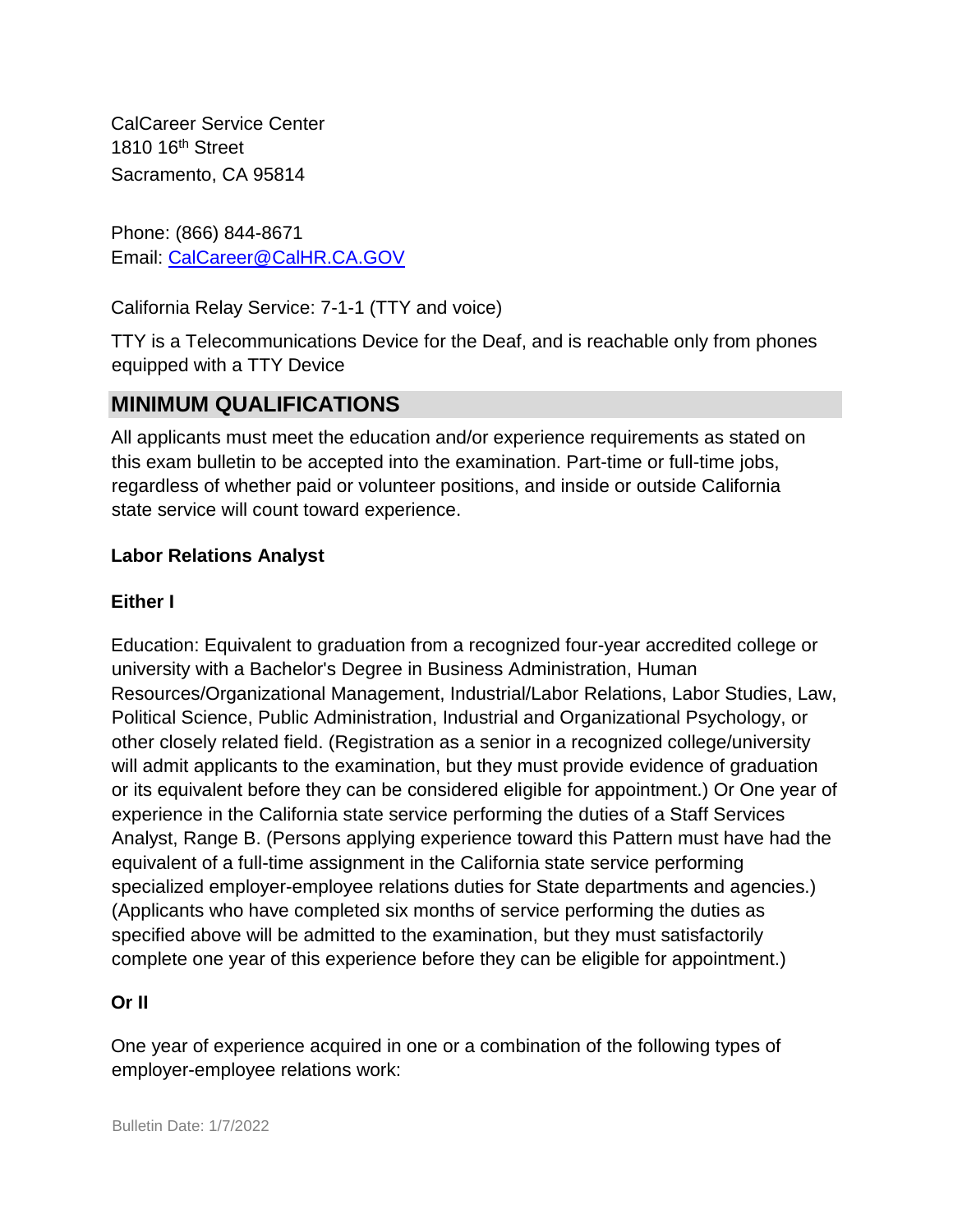CalCareer Service Center 1810 16<sup>th</sup> Street Sacramento, CA 95814

Phone: (866) 844-8671 Email: CalCareer@CalHR.CA.GOV

California Relay Service: 7-1-1 (TTY and voice)

TTY is a Telecommunications Device for the Deaf, and is reachable only from phones equipped with a TTY Device

## **MINIMUM QUALIFICATIONS**

All applicants must meet the education and/or experience requirements as stated on this exam bulletin to be accepted into the examination. Part-time or full-time jobs, regardless of whether paid or volunteer positions, and inside or outside California state service will count toward experience.

#### **Labor Relations Analyst**

#### **Either I**

Education: Equivalent to graduation from a recognized four-year accredited college or university with a Bachelor's Degree in Business Administration, Human Resources/Organizational Management, Industrial/Labor Relations, Labor Studies, Law, Political Science, Public Administration, Industrial and Organizational Psychology, or other closely related field. (Registration as a senior in a recognized college/university will admit applicants to the examination, but they must provide evidence of graduation or its equivalent before they can be considered eligible for appointment.) Or One year of experience in the California state service performing the duties of a Staff Services Analyst, Range B. (Persons applying experience toward this Pattern must have had the equivalent of a full-time assignment in the California state service performing specialized employer-employee relations duties for State departments and agencies.) (Applicants who have completed six months of service performing the duties as specified above will be admitted to the examination, but they must satisfactorily complete one year of this experience before they can be eligible for appointment.)

#### **Or II**

One year of experience acquired in one or a combination of the following types of employer-employee relations work: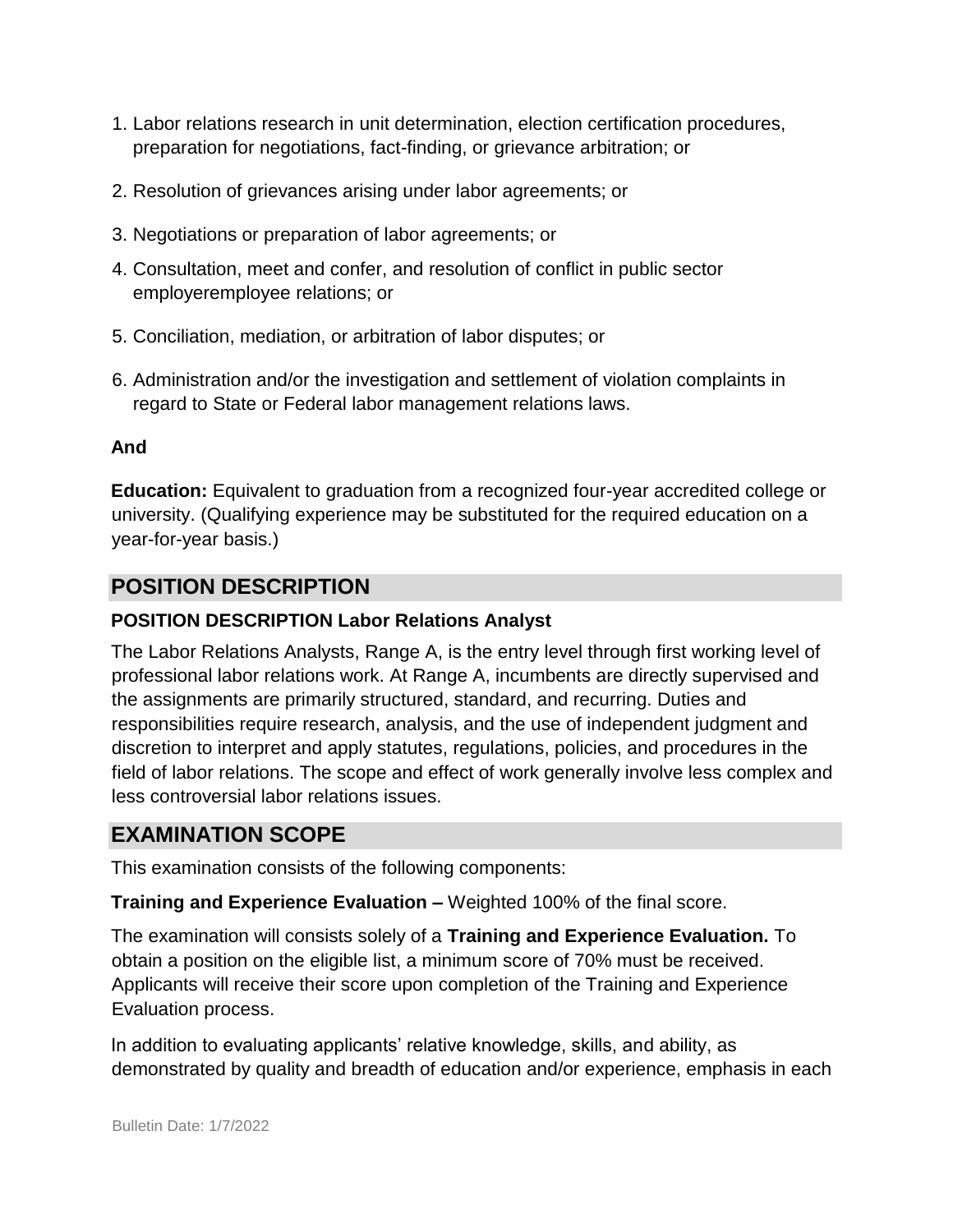- 1. Labor relations research in unit determination, election certification procedures, preparation for negotiations, fact-finding, or grievance arbitration; or
- 2. Resolution of grievances arising under labor agreements; or
- 3. Negotiations or preparation of labor agreements; or
- 4. Consultation, meet and confer, and resolution of conflict in public sector employeremployee relations; or
- 5. Conciliation, mediation, or arbitration of labor disputes; or
- 6. Administration and/or the investigation and settlement of violation complaints in regard to State or Federal labor management relations laws.

#### **And**

**Education:** Equivalent to graduation from a recognized four-year accredited college or university. (Qualifying experience may be substituted for the required education on a year-for-year basis.)

## **POSITION DESCRIPTION**

#### **POSITION DESCRIPTION Labor Relations Analyst**

The Labor Relations Analysts, Range A, is the entry level through first working level of professional labor relations work. At Range A, incumbents are directly supervised and the assignments are primarily structured, standard, and recurring. Duties and responsibilities require research, analysis, and the use of independent judgment and discretion to interpret and apply statutes, regulations, policies, and procedures in the field of labor relations. The scope and effect of work generally involve less complex and less controversial labor relations issues.

## **EXAMINATION SCOPE**

This examination consists of the following components:

**Training and Experience Evaluation –** Weighted 100% of the final score.

The examination will consists solely of a **Training and Experience Evaluation.** To obtain a position on the eligible list, a minimum score of 70% must be received. Applicants will receive their score upon completion of the Training and Experience Evaluation process.

In addition to evaluating applicants' relative knowledge, skills, and ability, as demonstrated by quality and breadth of education and/or experience, emphasis in each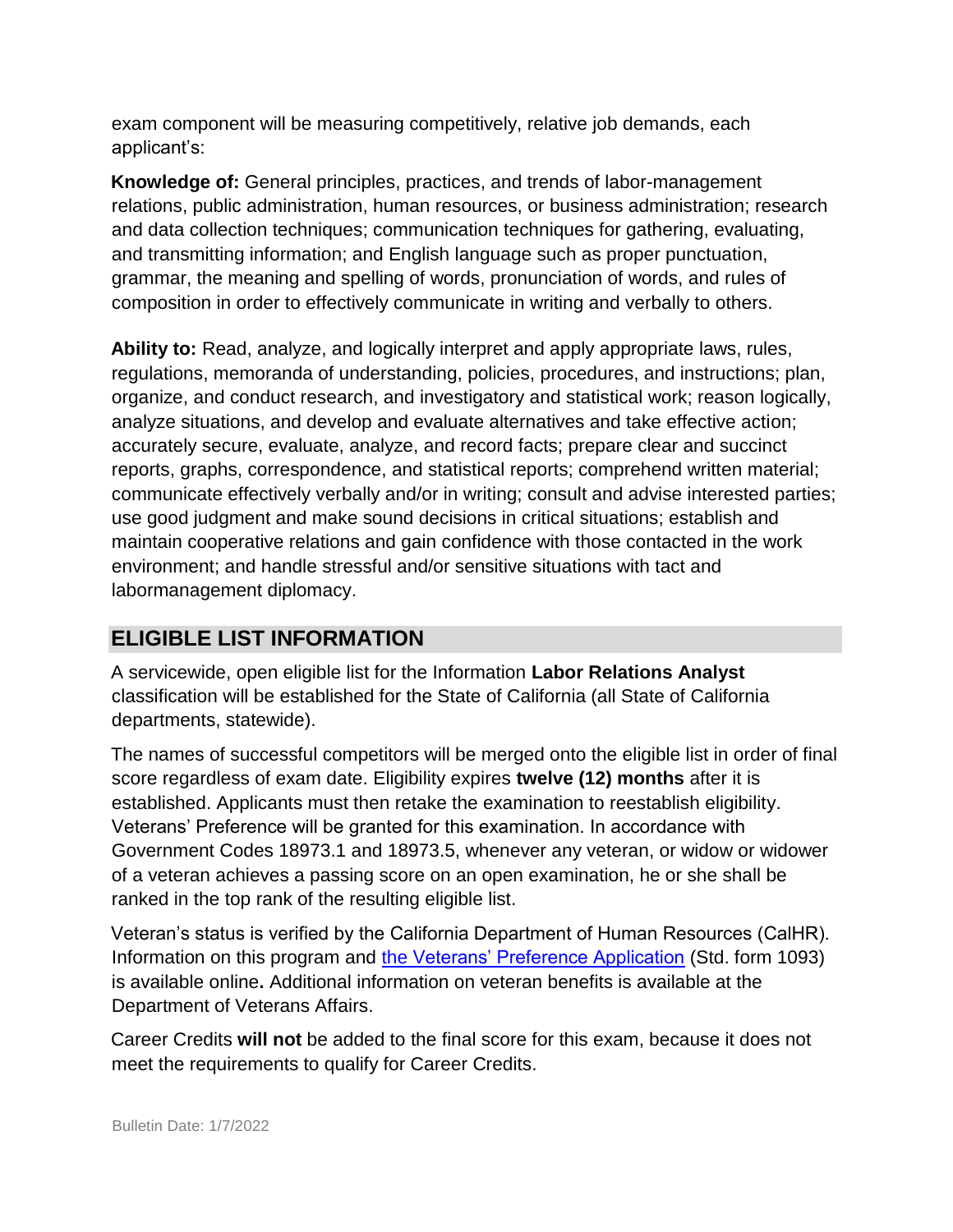exam component will be measuring competitively, relative job demands, each applicant's:

**Knowledge of:** General principles, practices, and trends of labor-management relations, public administration, human resources, or business administration; research and data collection techniques; communication techniques for gathering, evaluating, and transmitting information; and English language such as proper punctuation, grammar, the meaning and spelling of words, pronunciation of words, and rules of composition in order to effectively communicate in writing and verbally to others.

**Ability to:** Read, analyze, and logically interpret and apply appropriate laws, rules, regulations, memoranda of understanding, policies, procedures, and instructions; plan, organize, and conduct research, and investigatory and statistical work; reason logically, analyze situations, and develop and evaluate alternatives and take effective action; accurately secure, evaluate, analyze, and record facts; prepare clear and succinct reports, graphs, correspondence, and statistical reports; comprehend written material; communicate effectively verbally and/or in writing; consult and advise interested parties; use good judgment and make sound decisions in critical situations; establish and maintain cooperative relations and gain confidence with those contacted in the work environment; and handle stressful and/or sensitive situations with tact and labormanagement diplomacy.

## **ELIGIBLE LIST INFORMATION**

A servicewide, open eligible list for the Information **Labor Relations Analyst**  classification will be established for the State of California (all State of California departments, statewide).

The names of successful competitors will be merged onto the eligible list in order of final score regardless of exam date. Eligibility expires **twelve (12) months** after it is established. Applicants must then retake the examination to reestablish eligibility. Veterans' Preference will be granted for this examination. In accordance with Government Codes 18973.1 and 18973.5, whenever any veteran, or widow or widower of a veteran achieves a passing score on an open examination, he or she shall be ranked in the top rank of the resulting eligible list.

Veteran's status is verified by the California Department of Human Resources (CalHR). Information on this program and the [Veterans' Preference Application](https://www.jobs.ca.gov/CalHRPublic/Landing/Jobs/VeteransInformation.aspx) [\(](https://www.jobs.ca.gov/CalHRPublic/Landing/Jobs/VeteransInformation.aspx)Std. form 1093) is available online**.** Additional information on veteran benefits is available at the Department of Veterans Affairs.

Career Credits **will not** be added to the final score for this exam, because it does not meet the requirements to qualify for Career Credits.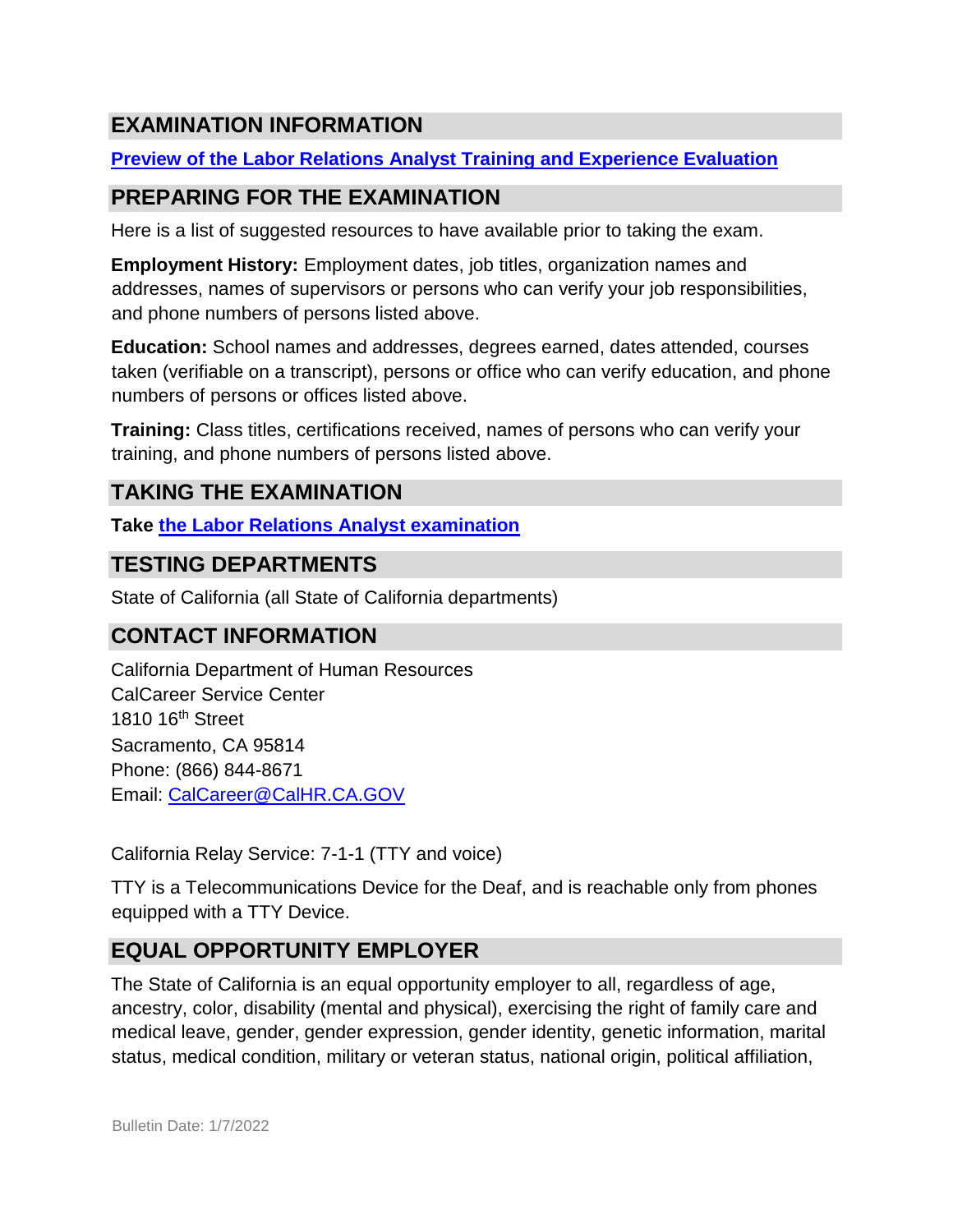# **EXAMINATION INFORMATION**

## **[Preview of the Labor Relations Analyst Training and Experience Evaluation](https://jobs.ca.gov/JOBSGEN/9PB26A.PDF)**

# **PREPARING FOR THE EXAMINATION**

Here is a list of suggested resources to have available prior to taking the exam.

**Employment History:** Employment dates, job titles, organization names and addresses, names of supervisors or persons who can verify your job responsibilities, and phone numbers of persons listed above.

**Education:** School names and addresses, degrees earned, dates attended, courses taken (verifiable on a transcript), persons or office who can verify education, and phone numbers of persons or offices listed above.

**Training:** Class titles, certifications received, names of persons who can verify your training, and phone numbers of persons listed above.

# **TAKING THE EXAMINATION**

**Take [the](https://exams.spb.ca.gov/exams/lra/index.cfm) [Labor Relations Analyst examination](https://exams.spb.ca.gov/exams/lra/index.cfm)**

## **TESTING DEPARTMENTS**

State of California (all State of California departments)

## **CONTACT INFORMATION**

California Department of Human Resources CalCareer Service Center 1810 16<sup>th</sup> Street Sacramento, CA 95814 Phone: (866) 844-8671 Email: CalCareer@CalHR.CA.GOV

California Relay Service: 7-1-1 (TTY and voice)

TTY is a Telecommunications Device for the Deaf, and is reachable only from phones equipped with a TTY Device.

# **EQUAL OPPORTUNITY EMPLOYER**

The State of California is an equal opportunity employer to all, regardless of age, ancestry, color, disability (mental and physical), exercising the right of family care and medical leave, gender, gender expression, gender identity, genetic information, marital status, medical condition, military or veteran status, national origin, political affiliation,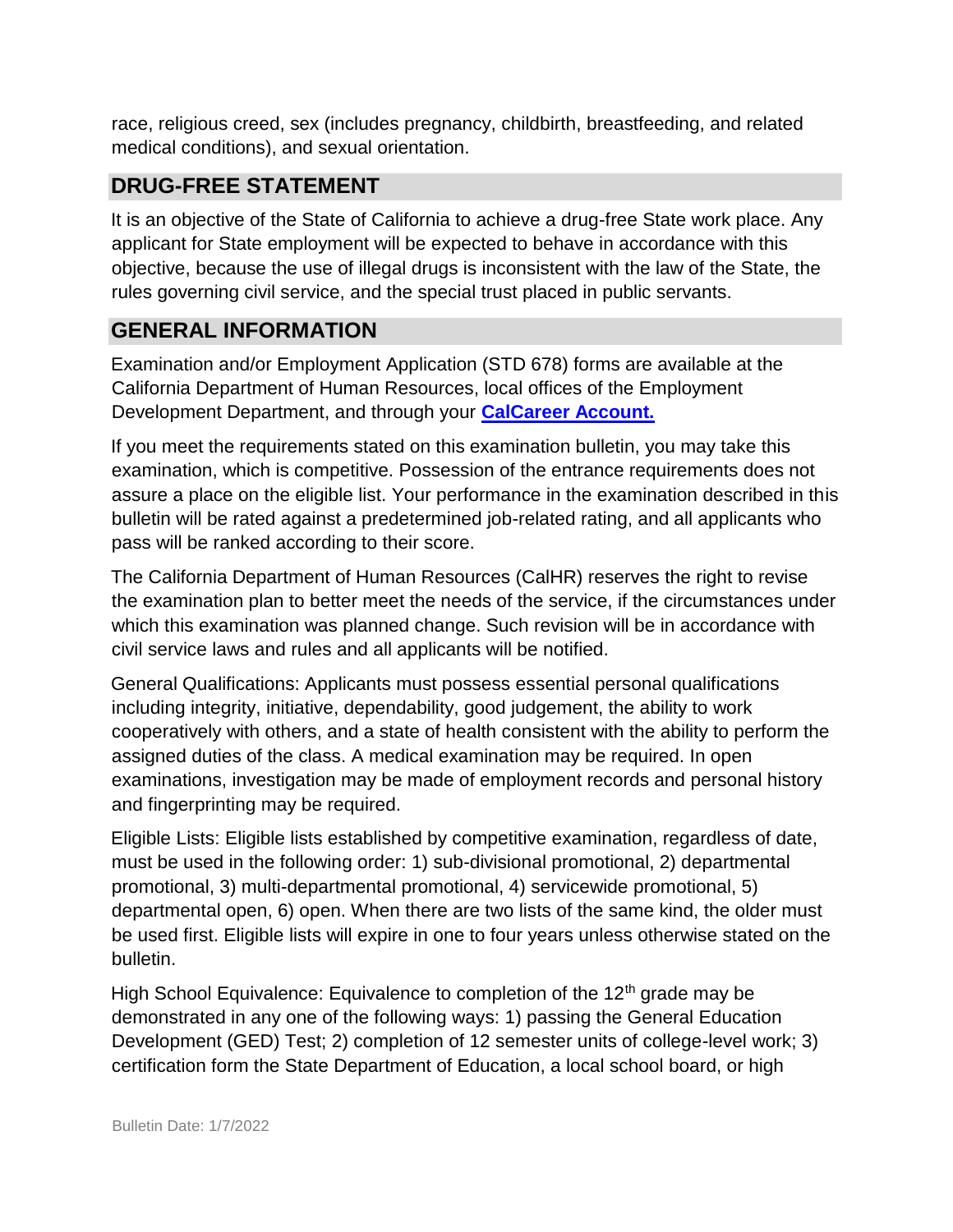race, religious creed, sex (includes pregnancy, childbirth, breastfeeding, and related medical conditions), and sexual orientation.

# **DRUG-FREE STATEMENT**

It is an objective of the State of California to achieve a drug-free State work place. Any applicant for State employment will be expected to behave in accordance with this objective, because the use of illegal drugs is inconsistent with the law of the State, the rules governing civil service, and the special trust placed in public servants.

## **GENERAL INFORMATION**

Examination and/or Employment Application (STD 678) forms are available at the California Department of Human Resources, local offices of the Employment Development Department, and through your **[CalCareer Account.](http://www.jobs.ca.gov/)**

If you meet the requirements stated on this examination bulletin, you may take this examination, which is competitive. Possession of the entrance requirements does not assure a place on the eligible list. Your performance in the examination described in this bulletin will be rated against a predetermined job-related rating, and all applicants who pass will be ranked according to their score.

The California Department of Human Resources (CalHR) reserves the right to revise the examination plan to better meet the needs of the service, if the circumstances under which this examination was planned change. Such revision will be in accordance with civil service laws and rules and all applicants will be notified.

General Qualifications: Applicants must possess essential personal qualifications including integrity, initiative, dependability, good judgement, the ability to work cooperatively with others, and a state of health consistent with the ability to perform the assigned duties of the class. A medical examination may be required. In open examinations, investigation may be made of employment records and personal history and fingerprinting may be required.

Eligible Lists: Eligible lists established by competitive examination, regardless of date, must be used in the following order: 1) sub-divisional promotional, 2) departmental promotional, 3) multi-departmental promotional, 4) servicewide promotional, 5) departmental open, 6) open. When there are two lists of the same kind, the older must be used first. Eligible lists will expire in one to four years unless otherwise stated on the bulletin.

High School Equivalence: Equivalence to completion of the  $12<sup>th</sup>$  grade may be demonstrated in any one of the following ways: 1) passing the General Education Development (GED) Test; 2) completion of 12 semester units of college-level work; 3) certification form the State Department of Education, a local school board, or high